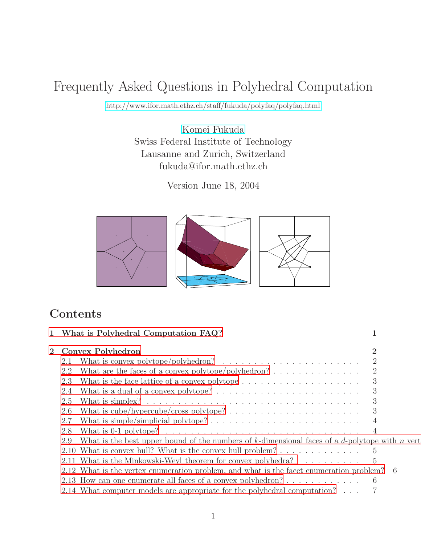# Frequently Asked Questions in Polyhedral Computation

<http://www.ifor.math.ethz.ch/staff/fukuda/polyfaq/polyfaq.html>

[Komei Fukuda](http://www.ifor.math.ethz.ch/staff/fukuda) Swiss Federal Institute of Technology Lausanne and Zurich, Switzerland fukuda@ifor.math.ethz.ch

Version June 18, 2004



# **Contents**

| $\mathbf{1}$ | What is Polyhedral Computation FAQ?                                                                      |                |  |  |  |
|--------------|----------------------------------------------------------------------------------------------------------|----------------|--|--|--|
| $\mathbf{2}$ | Convex Polyhedron                                                                                        |                |  |  |  |
|              | What is convex polytope/polyhedron? $\ldots \ldots \ldots \ldots \ldots \ldots \ldots$<br>2.1            |                |  |  |  |
|              | What are the faces of a convex polytope/polyhedron? $\ldots \ldots \ldots \ldots$<br>2.2                 | $\overline{2}$ |  |  |  |
|              | 2.3                                                                                                      | 3              |  |  |  |
|              | What is a dual of a convex polytope? $\dots \dots \dots \dots \dots \dots \dots \dots \dots$<br>2.4      | 3              |  |  |  |
|              | 2.5                                                                                                      | 3              |  |  |  |
|              | 2.6                                                                                                      | 3              |  |  |  |
|              | 2.7                                                                                                      |                |  |  |  |
|              | What is 0-1 polytope? $\ldots \ldots \ldots \ldots \ldots \ldots \ldots \ldots \ldots \ldots$<br>2.8     | $\overline{4}$ |  |  |  |
|              | What is the best upper bound of the numbers of k-dimensional faces of a $d$ -polytope with n vert<br>2.9 |                |  |  |  |
|              | 2.10 What is convex hull? What is the convex hull problem? $\dots \dots \dots \dots \dots$               |                |  |  |  |
|              | 2.11 What is the Minkowski-Weyl theorem for convex polyhedra? $\ldots \ldots \ldots$ 5                   |                |  |  |  |
|              | 2.12 What is the vertex enumeration problem, and what is the facet enumeration problem? 6                |                |  |  |  |
|              |                                                                                                          |                |  |  |  |
|              | 2.14 What computer models are appropriate for the polyhedral computation?                                |                |  |  |  |
|              |                                                                                                          |                |  |  |  |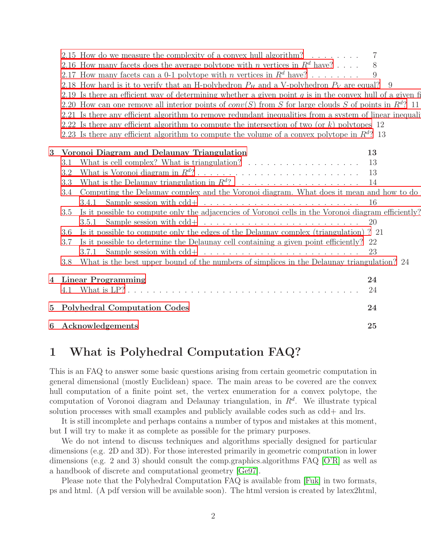|                         | 2.15 How do we measure the complexity of a convex hull algorithm? $\ldots \ldots$                          | 7   |
|-------------------------|------------------------------------------------------------------------------------------------------------|-----|
|                         | 2.16 How many facets does the average polytope with <i>n</i> vertices in $R^d$ have?                       | 8   |
|                         | 2.17 How many facets can a 0-1 polytope with <i>n</i> vertices in $R^d$ have?                              | 9   |
|                         | 2.18 How hard is it to verify that an H-polyhedron $P_H$ and a V-polyhedron $P_V$ are equal? 9             |     |
|                         | 2.19 Is there an efficient way of determining whether a given point q is in the convex hull of a given fi  |     |
|                         | 2.20 How can one remove all interior points of $conv(S)$ from S for large clouds S of points in $Rd$ ? 11  |     |
|                         | 2.21 Is there any efficient algorithm to remove redundant inequalities from a system of linear inequali    |     |
|                         | 2.22 Is there any efficient algorithm to compute the intersection of two (or $k$ ) polytopes 12            |     |
|                         | 2.23 Is there any efficient algorithm to compute the volume of a convex polytope in $\mathbb{R}^{d}$ ? 13  |     |
| 3                       | Voronoi Diagram and Delaunay Triangulation                                                                 | 13  |
|                         | What is cell complex? What is triangulation? $\ldots \ldots \ldots \ldots \ldots \ldots$<br>3.1            | 13  |
|                         | 3.2                                                                                                        | 13  |
|                         | 3.3                                                                                                        | 14  |
|                         | Computing the Delaunay complex and the Voronoi diagram. What does it mean and how to do<br>3.4             |     |
|                         | Sample session with $cdd + \ldots \ldots \ldots \ldots \ldots \ldots \ldots \ldots$<br>3.4.1               | -16 |
|                         | Is it possible to compute only the adjacencies of Voronoi cells in the Voronoi diagram efficiently?<br>3.5 |     |
|                         | Sample session with $cdd + \ldots \ldots \ldots \ldots \ldots \ldots \ldots \ldots$<br>3.5.1               | 20  |
|                         | Is it possible to compute only the edges of the Delaunay complex (triangulation)? 21<br>3.6                |     |
|                         | Is it possible to determine the Delaunay cell containing a given point efficiently? 22<br>3.7              |     |
|                         | Sample session with $cdd + \ldots \ldots \ldots \ldots \ldots \ldots \ldots \ldots$<br>3.7.1               | -23 |
|                         | What is the best upper bound of the numbers of simplices in the Delaunay triangulation? 24<br>3.8          |     |
| $\overline{\mathbf{4}}$ | <b>Linear Programming</b>                                                                                  | 24  |
|                         |                                                                                                            | 24  |
| $5\overline{)}$         | <b>Polyhedral Computation Codes</b>                                                                        | 24  |
| 6                       | Acknowledgements                                                                                           | 25  |

# <span id="page-1-0"></span>1 What is Polyhedral Computation FAQ?

This is an FAQ to answer some basic questions arising from certain geometric computation in general dimensional (mostly Euclidean) space. The main areas to be covered are the convex hull computation of a finite point set, the vertex enumeration for a convex polytope, the computation of Voronoi diagram and Delaunay triangulation, in  $R<sup>d</sup>$ . We illustrate typical solution processes with small examples and publicly available codes such as cdd+ and lrs.

It is still incomplete and perhaps contains a number of typos and mistakes at this moment, but I will try to make it as complete as possible for the primary purposes.

We do not intend to discuss techniques and algorithms specially designed for particular dimensions (e.g. 2D and 3D). For those interested primarily in geometric computation in lower dimensions (e.g. 2 and 3) should consult the comp.graphics.algorithms FAQ [\[O'R\]](#page-28-0) as well as a handbook of discrete and computational geometry [\[Ge97\]](#page-27-0).

Please note that the Polyhedral Computation FAQ is available from [\[Fuk\]](#page-27-1) in two formats, ps and html. (A pdf version will be available soon). The html version is created by latex2html,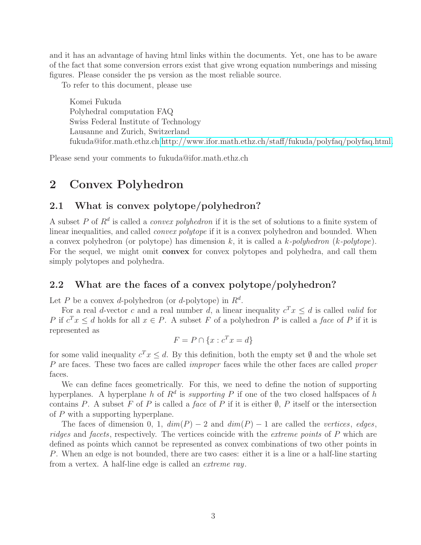and it has an advantage of having html links within the documents. Yet, one has to be aware of the fact that some conversion errors exist that give wrong equation numberings and missing figures. Please consider the ps version as the most reliable source.

To refer to this document, please use

Komei Fukuda Polyhedral computation FAQ Swiss Federal Institute of Technology Lausanne and Zurich, Switzerland fukuda@ifor.math.ethz.ch [http://www.ifor.math.ethz.ch/staff/fukuda/polyfaq/polyfaq.html.](http://www.ifor.math.ethz.ch/staff/fukuda/polyfaq/polyfaq.html)

<span id="page-2-0"></span>Please send your comments to fukuda@ifor.math.ethz.ch

# <span id="page-2-1"></span>2 Convex Polyhedron

#### 2.1 What is convex polytope/polyhedron?

A subset P of  $\mathbb{R}^d$  is called a *convex polyhedron* if it is the set of solutions to a finite system of linear inequalities, and called *convex polytope* if it is a convex polyhedron and bounded. When a convex polyhedron (or polytope) has dimension k, it is called a k*-polyhedron* (k*-polytope*). For the sequel, we might omit convex for convex polytopes and polyhedra, and call them simply polytopes and polyhedra.

#### <span id="page-2-2"></span>2.2 What are the faces of a convex polytope/polyhedron?

Let P be a convex d-polyhedron (or d-polytope) in  $R^d$ .

For a real d-vector c and a real number d, a linear inequality  $c^T x \leq d$  is called *valid* for P if  $c^T x \leq d$  holds for all  $x \in P$ . A subset F of a polyhedron P is called a *face* of P if it is represented as

$$
F = P \cap \{x : c^T x = d\}
$$

for some valid inequality  $c^T x \leq d$ . By this definition, both the empty set  $\emptyset$  and the whole set P are faces. These two faces are called *improper* faces while the other faces are called *proper* faces.

We can define faces geometrically. For this, we need to define the notion of supporting hyperplanes. A hyperplane h of  $R^d$  is *supporting* P if one of the two closed halfspaces of h contains P. A subset F of P is called a *face* of P if it is either  $\emptyset$ , P itself or the intersection of P with a supporting hyperplane.

The faces of dimension 0, 1,  $dim(P) - 2$  and  $dim(P) - 1$  are called the *vertices*, *edges*, *ridges* and *facets*, respectively. The vertices coincide with the *extreme points* of P which are defined as points which cannot be represented as convex combinations of two other points in P. When an edge is not bounded, there are two cases: either it is a line or a half-line starting from a vertex. A half-line edge is called an *extreme ray*.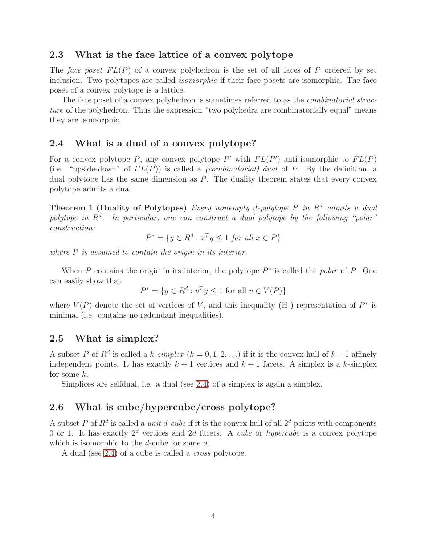#### <span id="page-3-0"></span>2.3 What is the face lattice of a convex polytope

The *face poset*  $FL(P)$  of a convex polyhedron is the set of all faces of P ordered by set inclusion. Two polytopes are called *isomorphic* if their face posets are isomorphic. The face poset of a convex polytope is a lattice.

The face poset of a convex polyhedron is sometimes referred to as the *combinatorial structure* of the polyhedron. Thus the expression "two polyhedra are combinatorially equal" means they are isomorphic.

#### <span id="page-3-1"></span>2.4 What is a dual of a convex polytope?

For a convex polytope P, any convex polytope P' with  $FL(P')$  anti-isomorphic to  $FL(P)$ (i.e. "upside-down" of  $FL(P)$ ) is called a *(combinatorial) dual* of P. By the definition, a dual polytope has the same dimension as  $P$ . The duality theorem states that every convex polytope admits a dual.

Theorem 1 (Duality of Polytopes) *Every nonempty* d*-polytope* P *in* R<sup>d</sup> *admits a dual* polytope in  $R^d$ . In particular, one can construct a dual polytope by the following "polar" *construction:*

 $P^* = \{y \in R^d : x^T y \leq 1 \text{ for all } x \in P\}$ 

*where* P *is assumed to contain the origin in its interior.*

When  $P$  contains the origin in its interior, the polytope  $P^*$  is called the *polar* of  $P$ . One can easily show that

$$
P^* = \{ y \in R^d : v^T y \le 1 \text{ for all } v \in V(P) \}
$$

where  $V(P)$  denote the set of vertices of V, and this inequality (H-) representation of  $P^*$  is minimal (i.e. contains no redundant inequalities).

#### <span id="page-3-2"></span>2.5 What is simplex?

A subset P of  $R^d$  is called a k-simplex  $(k = 0, 1, 2, ...)$  if it is the convex hull of  $k + 1$  affinely independent points. It has exactly  $k + 1$  vertices and  $k + 1$  facets. A simplex is a k-simplex for some k.

Simplices are selfdual, i.e. a dual (see [2.4\)](#page-3-1) of a simplex is again a simplex.

#### <span id="page-3-3"></span>2.6 What is cube/hypercube/cross polytope?

A subset P of  $R^d$  is called a *unit* d-cube if it is the convex hull of all  $2^d$  points with components 0 or 1. It has exactly  $2^d$  vertices and 2d facets. A *cube* or *hypercube* is a convex polytope which is isomorphic to the *d*-cube for some *d*.

A dual (see [2.4\)](#page-3-1) of a cube is called a *cross* polytope.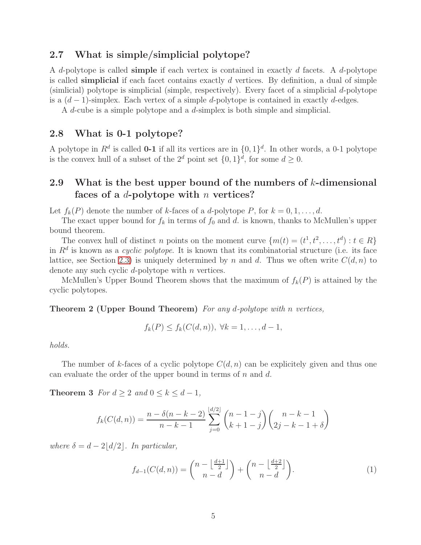#### <span id="page-4-0"></span>2.7 What is simple/simplicial polytope?

A d-polytope is called simple if each vertex is contained in exactly d facets. A d-polytope is called simplicial if each facet contains exactly  $d$  vertices. By definition, a dual of simple (simlicial) polytope is simplicial (simple, respectively). Every facet of a simplicial  $d$ -polytope is a  $(d-1)$ -simplex. Each vertex of a simple d-polytope is contained in exactly d-edges.

A d-cube is a simple polytope and a d-simplex is both simple and simplicial.

#### <span id="page-4-1"></span>2.8 What is 0-1 polytope?

A polytope in  $\mathbb{R}^d$  is called **0-1** if all its vertices are in  $\{0,1\}^d$ . In other words, a 0-1 polytope is the convex hull of a subset of the  $2^d$  point set  $\{0,1\}^d$ , for some  $d \geq 0$ .

# <span id="page-4-2"></span>2.9 What is the best upper bound of the numbers of  $k$ -dimensional faces of a  $d$ -polytope with n vertices?

Let  $f_k(P)$  denote the number of k-faces of a d-polytope P, for  $k = 0, 1, \ldots, d$ .

The exact upper bound for  $f_k$  in terms of  $f_0$  and d. is known, thanks to McMullen's upper bound theorem.

The convex hull of distinct *n* points on the moment curve  $\{m(t) = (t^1, t^2, \dots, t^d) : t \in R\}$ in  $R<sup>d</sup>$  is known as a *cyclic polytope*. It is known that its combinatorial structure (i.e. its face lattice, see Section [2.3\)](#page-3-0) is uniquely determined by n and d. Thus we often write  $C(d, n)$  to denote any such cyclic d-polytope with n vertices.

<span id="page-4-3"></span>McMullen's Upper Bound Theorem shows that the maximum of  $f_k(P)$  is attained by the cyclic polytopes.

Theorem 2 (Upper Bound Theorem) *For any* d*-polytope with* n *vertices,*

$$
f_k(P) \le f_k(C(d,n)), \ \forall k = 1, \ldots, d-1,
$$

*holds.*

The number of k-faces of a cyclic polytope  $C(d, n)$  can be explicitely given and thus one can evaluate the order of the upper bound in terms of  $n$  and  $d$ .

**Theorem 3** *For*  $d \geq 2$  *and*  $0 \leq k \leq d-1$ *,* 

$$
f_k(C(d,n)) = \frac{n - \delta(n - k - 2)}{n - k - 1} \sum_{j=0}^{\lfloor d/2 \rfloor} {n - 1 - j \choose k + 1 - j} {n - k - 1 \choose 2j - k - 1 + \delta}
$$

*where*  $\delta = d - 2\left| \frac{d}{2} \right|$ *. In particular,* 

<span id="page-4-4"></span>
$$
f_{d-1}(C(d,n)) = \binom{n - \left\lfloor \frac{d+1}{2} \right\rfloor}{n-d} + \binom{n - \left\lfloor \frac{d+2}{2} \right\rfloor}{n-d}.
$$
\n(1)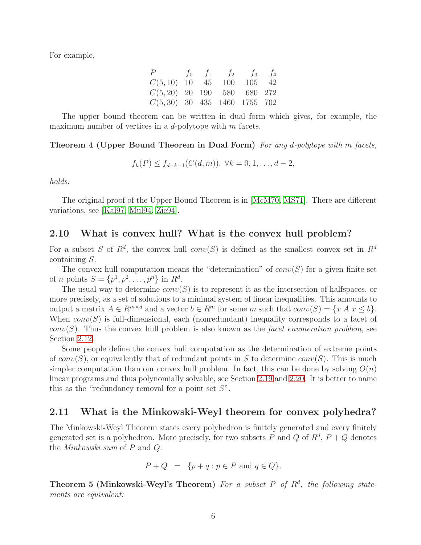For example,

| P                              |  | $f_0$ $f_1$ $f_2$ $f_3$ $f_4$ |            |  |
|--------------------------------|--|-------------------------------|------------|--|
| $C(5, 10)$ 10 45               |  |                               | 100 105 42 |  |
| $C(5, 20)$ 20 190 580 680 272  |  |                               |            |  |
| $C(5,30)$ 30 435 1460 1755 702 |  |                               |            |  |

The upper bound theorem can be written in dual form which gives, for example, the maximum number of vertices in a  $d$ -polytope with  $m$  facets.

Theorem 4 (Upper Bound Theorem in Dual Form) *For any* d*-polytope with* m *facets,*

$$
f_k(P) \le f_{d-k-1}(C(d,m)), \ \forall k = 0, 1, \ldots, d-2,
$$

*holds.*

The original proof of the Upper Bound Theorem is in [\[McM70,](#page-28-1) [MS71\]](#page-28-2). There are different variations, see [\[Kal97,](#page-28-3) [Mul94,](#page-28-4) [Zie94\]](#page-29-0).

#### <span id="page-5-0"></span>2.10 What is convex hull? What is the convex hull problem?

For a subset S of  $R^d$ , the convex hull conv $(S)$  is defined as the smallest convex set in  $R^d$ containing S.

The convex hull computation means the "determination" of  $conv(S)$  for a given finite set of *n* points  $S = \{p^1, p^2, ..., p^n\}$  in  $R^d$ .

The usual way to determine  $conv(S)$  is to represent it as the intersection of halfspaces, or more precisely, as a set of solutions to a minimal system of linear inequalities. This amounts to output a matrix  $A \in R^{m \times d}$  and a vector  $b \in R^m$  for some m such that  $conv(S) = \{x | A \mid x \leq b\}.$ When  $conv(S)$  is full-dimensional, each (nonredundant) inequality corresponds to a facet of  $conv(S)$ . Thus the convex hull problem is also known as the *facet enumeration problem*, see Section [2.12.](#page-6-0)

Some people define the convex hull computation as the determination of extreme points of  $conv(S)$ , or equivalently that of redundant points in S to determine  $conv(S)$ . This is much simpler computation than our convex hull problem. In fact, this can be done by solving  $O(n)$ linear programs and thus polynomially solvable, see Section [2.19](#page-10-0) and [2.20.](#page-11-0) It is better to name this as the "redundancy removal for a point set  $S$ ".

#### <span id="page-5-1"></span>2.11 What is the Minkowski-Weyl theorem for convex polyhedra?

The Minkowski-Weyl Theorem states every polyhedron is finitely generated and every finitely generated set is a polyhedron. More precisely, for two subsets P and Q of  $R^d$ ,  $P + Q$  denotes the *Minkowski sum* of P and Q:

$$
P + Q = \{ p + q : p \in P \text{ and } q \in Q \}.
$$

<span id="page-5-2"></span>Theorem 5 (Minkowski-Weyl's Theorem) For a subset P of  $R^d$ , the following state*ments are equivalent:*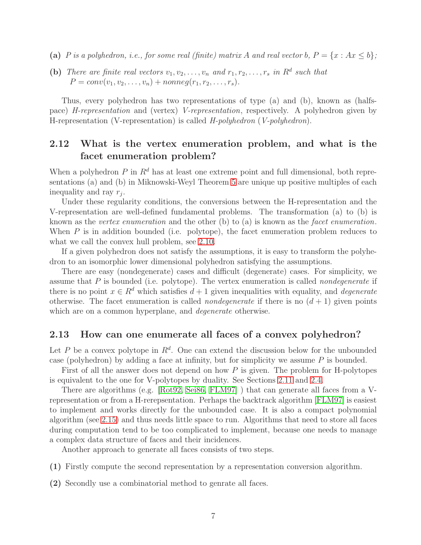- (a) *P* is a polyhedron, i.e., for some real (finite) matrix A and real vector b,  $P = \{x : Ax \leq b\}$ ;
- (b) There are finite real vectors  $v_1, v_2, \ldots, v_n$  and  $r_1, r_2, \ldots, r_s$  in  $R^d$  such that  $P = conv(v_1, v_2, \ldots, v_n) + nonneg(r_1, r_2, \ldots, r_s).$

Thus, every polyhedron has two representations of type (a) and (b), known as (halfspace) *H-representation* and (vertex) *V-representation*, respectively. A polyhedron given by H-representation (V-representation) is called *H-polyhedron* (*V-polyhedron*).

#### <span id="page-6-0"></span>2.12 What is the vertex enumeration problem, and what is the facet enumeration problem?

When a polyhedron  $P$  in  $\mathbb{R}^d$  has at least one extreme point and full dimensional, both representations (a) and (b) in Miknowski-Weyl Theorem [5](#page-5-2) are unique up positive multiples of each inequality and ray  $r_j$ .

Under these regularity conditions, the conversions between the H-representation and the V-representation are well-defined fundamental problems. The transformation (a) to (b) is known as the *vertex enumeration* and the other (b) to (a) is known as the *facet enumeration*. When P is in addition bounded (i.e. polytope), the facet enumeration problem reduces to what we call the convex hull problem, see [2.10.](#page-5-0)

If a given polyhedron does not satisfy the assumptions, it is easy to transform the polyhedron to an isomorphic lower dimensional polyhedron satisfying the assumptions.

There are easy (nondegenerate) cases and difficult (degenerate) cases. For simplicity, we assume that P is bounded (i.e. polytope). The vertex enumeration is called *nondegenerate* if there is no point  $x \in \mathbb{R}^d$  which satisfies  $d+1$  given inequalities with equality, and *degenerate* otherwise. The facet enumeration is called *nondegenerate* if there is no  $(d + 1)$  given points which are on a common hyperplane, and *degenerate* otherwise.

#### <span id="page-6-1"></span>2.13 How can one enumerate all faces of a convex polyhedron?

Let P be a convex polytope in  $\mathbb{R}^d$ . One can extend the discussion below for the unbounded case (polyhedron) by adding a face at infinity, but for simplicity we assume  $P$  is bounded.

First of all the answer does not depend on how  $P$  is given. The problem for H-polytopes is equivalent to the one for V-polytopes by duality. See Sections [2.11](#page-5-1) and [2.4.](#page-3-1)

There are algorithms (e.g. [\[Rot92,](#page-28-5) [Sei86,](#page-29-1) [FLM97\]](#page-27-2) ) that can generate all faces from a Vrepresentation or from a H-rerepsentation. Perhaps the backtrack algorithm [\[FLM97\]](#page-27-2) is easiest to implement and works directly for the unbounded case. It is also a compact polynomial algorithm (see [2.15\)](#page-7-1) and thus needs little space to run. Algorithms that need to store all faces during computation tend to be too complicated to implement, because one needs to manage a complex data structure of faces and their incidences.

Another approach to generate all faces consists of two steps.

- (1) Firstly compute the second representation by a representation conversion algorithm.
- (2) Secondly use a combinatorial method to genrate all faces.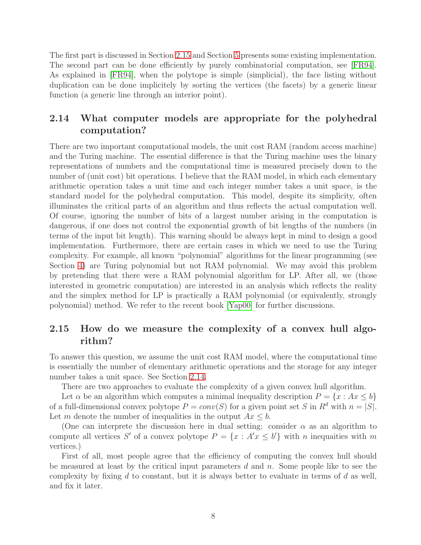The first part is discussed in Section [2.15](#page-7-1) and Section [5](#page-24-3) presents some existing implementation. The second part can be done efficiently by purely combinatorial computation, see [\[FR94\]](#page-27-3). As explained in [\[FR94\]](#page-27-3), when the polytope is simple (simplicial), the face listing without duplication can be done implicitely by sorting the vertices (the facets) by a generic linear function (a generic line through an interior point).

## <span id="page-7-0"></span>2.14 What computer models are appropriate for the polyhedral computation?

There are two important computational models, the unit cost RAM (random access machine) and the Turing machine. The essential difference is that the Turing machine uses the binary representations of numbers and the computational time is measured precisely down to the number of (unit cost) bit operations. I believe that the RAM model, in which each elementary arithmetic operation takes a unit time and each integer number takes a unit space, is the standard model for the polyhedral computation. This model, despite its simplicity, often illuminates the critical parts of an algorithm and thus reflects the actual computation well. Of course, ignoring the number of bits of a largest number arising in the computation is dangerous, if one does not control the exponential growth of bit lengths of the numbers (in terms of the input bit length). This warning should be always kept in mind to design a good implementation. Furthermore, there are certain cases in which we need to use the Turing complexity. For example, all known "polynomial" algorithms for the linear programming (see Section [4\)](#page-24-1) are Turing polynomial but not RAM polynomial. We may avoid this problem by pretending that there were a RAM polynomial algorithm for LP. After all, we (those interested in geometric computation) are interested in an analysis which reflects the reality and the simplex method for LP is practically a RAM polynomial (or equivalently, strongly polynomial) method. We refer to the recent book [\[Yap00\]](#page-29-2) for further discussions.

#### <span id="page-7-1"></span>2.15 How do we measure the complexity of a convex hull algorithm?

To answer this question, we assume the unit cost RAM model, where the computational time is essentially the number of elementary arithmetic operations and the storage for any integer number takes a unit space. See Section [2.14.](#page-7-0)

There are two approaches to evaluate the complexity of a given convex hull algorithm.

Let  $\alpha$  be an algorithm which computes a minimal inequality description  $P = \{x : Ax \leq b\}$ of a full-dimensional convex polytope  $P = conv(S)$  for a given point set S in  $R^d$  with  $n = |S|$ . Let m denote the number of inequalities in the output  $Ax \leq b$ .

(One can interprete the discussion here in dual setting: consider  $\alpha$  as an algorithm to compute all vertices S' of a convex polytope  $P = \{x : A'x \le b'\}$  with n inequalities with m vertices.)

First of all, most people agree that the efficiency of computing the convex hull should be measured at least by the critical input parameters  $d$  and  $n$ . Some people like to see the complexity by fixing  $d$  to constant, but it is always better to evaluate in terms of  $d$  as well, and fix it later.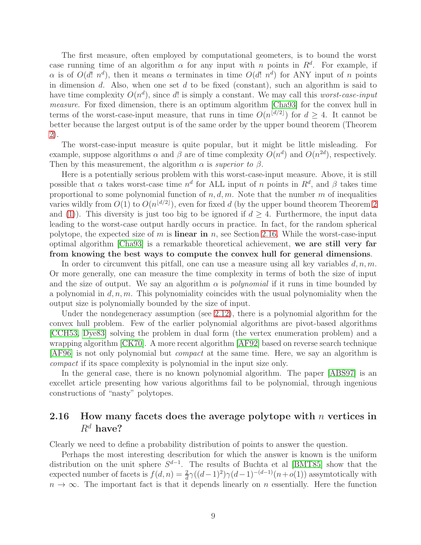The first measure, often employed by computational geometers, is to bound the worst case running time of an algorithm  $\alpha$  for any input with n points in  $R^d$ . For example, if α is of  $O(d! n^d)$ , then it means α terminates in time  $O(d! n^d)$  for ANY input of n points in dimension d. Also, when one set d to be fixed (constant), such an algorithm is said to have time complexity  $O(n^d)$ , since d! is simply a constant. We may call this *worst-case-input measure*. For fixed dimension, there is an optimum algorithm [\[Cha93\]](#page-27-4) for the convex hull in terms of the worst-case-input measure, that runs in time  $O(n^{\lfloor d/2 \rfloor})$  for  $d \geq 4$ . It cannot be better because the largest output is of the same order by the upper bound theorem (Theorem [2\)](#page-4-3).

The worst-case-input measure is quite popular, but it might be little misleading. For example, suppose algorithms  $\alpha$  and  $\beta$  are of time complexity  $O(n^d)$  and  $O(n^{2d})$ , respectively. Then by this measurement, the algorithm  $\alpha$  is *superior to*  $\beta$ .

Here is a potentially serious problem with this worst-case-input measure. Above, it is still possible that  $\alpha$  takes worst-case time  $n^d$  for ALL input of n points in  $R^d$ , and  $\beta$  takes time proportional to some polynomial function of  $n, d, m$ . Note that the number m of inequalities varies wildly from  $O(1)$  to  $O(n^{\lfloor d/2 \rfloor})$ , even for fixed d (by the upper bound theorem Theorem [2](#page-4-3) and [\(1\)](#page-4-4)). This diversity is just too big to be ignored if  $d \geq 4$ . Furthermore, the input data leading to the worst-case output hardly occurs in practice. In fact, for the random spherical polytope, the expected size of m is **linear in** n, see Section [2.16.](#page-8-0) While the worst-case-input optimal algorithm [\[Cha93\]](#page-27-4) is a remarkable theoretical achievement, we are still very far from knowing the best ways to compute the convex hull for general dimensions.

In order to circumvent this pitfall, one can use a measure using all key variables  $d, n, m$ . Or more generally, one can measure the time complexity in terms of both the size of input and the size of output. We say an algorithm  $\alpha$  is *polynomial* if it runs in time bounded by a polynomial in  $d, n, m$ . This polynomiality coincides with the usual polynomiality when the output size is polynomially bounded by the size of input.

Under the nondegeneracy assumption (see [2.12\)](#page-6-0), there is a polynomial algorithm for the convex hull problem. Few of the earlier polynomial algorithms are pivot-based algorithms [\[CCH53,](#page-26-1) [Dye83\]](#page-27-5) solving the problem in dual form (the vertex enumeration problem) and a wrapping algorithm [\[CK70\]](#page-27-6). A more recent algorithm [\[AF92\]](#page-26-2) based on reverse search technique [\[AF96\]](#page-26-3) is not only polynomial but *compact* at the same time. Here, we say an algorithm is *compact* if its space complexity is polynomial in the input size only.

In the general case, there is no known polynomial algorithm. The paper [\[ABS97\]](#page-26-4) is an excellet article presenting how various algorithms fail to be polynomial, through ingenious constructions of "nasty" polytopes.

#### <span id="page-8-0"></span>2.16 How many facets does the average polytope with n vertices in  $R^d$  have?

Clearly we need to define a probability distribution of points to answer the question.

Perhaps the most interesting describution for which the answer is known is the uniform distribution on the unit sphere  $S^{d-1}$ . The results of Buchta et al [\[BMT85\]](#page-26-5) show that the expected number of facets is  $f(d, n) = \frac{2}{d}\gamma((d-1)^2)\gamma(d-1)^{-(d-1)}(n+o(1))$  assymtotically with  $n \to \infty$ . The important fact is that it depends linearly on n essentially. Here the function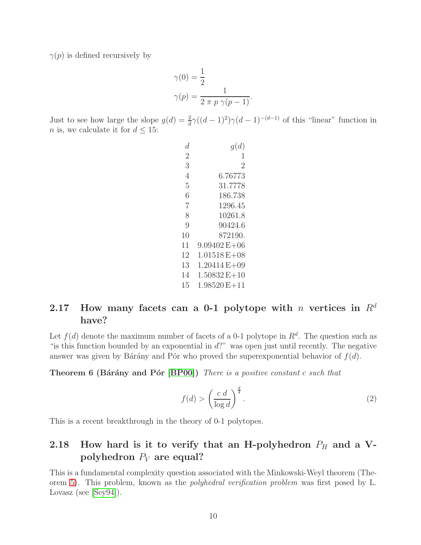$\gamma(p)$  is defined recursively by

$$
\gamma(0) = \frac{1}{2}
$$

$$
\gamma(p) = \frac{1}{2 \pi p \gamma(p-1)}.
$$

Just to see how large the slope  $g(d) = \frac{2}{d}\gamma((d-1)^2)\gamma(d-1)^{-(d-1)}$  of this "linear" function in *n* is, we calculate it for  $d \leq 15$ :

| d.             | g(d)             |
|----------------|------------------|
| $\overline{2}$ | 1                |
| 3              | 2                |
| 4              | 6.76773          |
| 5              | 31.7778          |
| 6              | 186.738          |
| $\overline{7}$ | 1296.45          |
| 8              | 10261.8          |
| 9              | 90424.6          |
| 10             | 872190.          |
| 11             | $9.09402 E + 06$ |
| 12             | $1.01518 E + 08$ |
| 13             | $1.20414 E + 09$ |
| 14             | $1.50832 E + 10$ |
| 15             | $1.98520E+11$    |

# <span id="page-9-0"></span>2.17 How many facets can a 0-1 polytope with n vertices in  $\mathbb{R}^d$ have?

Let  $f(d)$  denote the maximum number of facets of a 0-1 polytope in  $R<sup>d</sup>$ . The question such as " is this function bounded by an exponential in  $d$ ?" was open just until recently. The negative answer was given by Bárány and Pór who proved the superexponential behavior of  $f(d)$ .

**Theorem 6 (Bárány and Pór [\[BP00\]](#page-26-6))** *There is a positive constant c such that* 

$$
f(d) > \left(\frac{c \ d}{\log d}\right)^{\frac{d}{4}}.\tag{2}
$$

This is a recent breakthrough in the theory of 0-1 polytopes.

# <span id="page-9-1"></span>2.18 How hard is it to verify that an H-polyhedron  $P_H$  and a Vpolyhedron  $P_V$  are equal?

This is a fundamental complexity question associated with the Minkowski-Weyl theorem (Theorem [5\)](#page-5-2). This problem, known as the *polyhedral verification problem* was first posed by L. Lovasz (see [\[Sey94\]](#page-29-3)).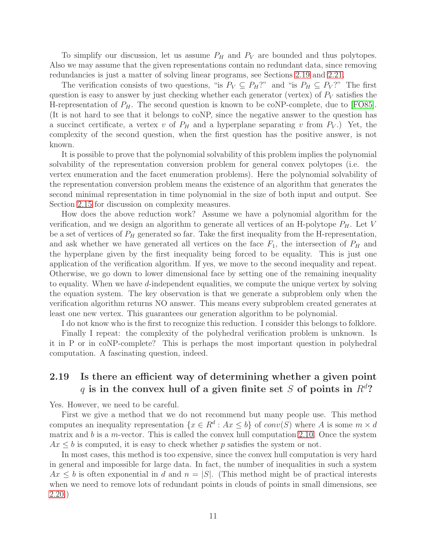To simplify our discussion, let us assume  $P_H$  and  $P_V$  are bounded and thus polytopes. Also we may assume that the given representations contain no redundant data, since removing redundancies is just a matter of solving linear programs, see Sections [2.19](#page-10-0) and [2.21.](#page-12-0)

The verification consists of two questions, "is  $P_V \subseteq P_H$ ?" and "is  $P_H \subseteq P_V$ ?" The first question is easy to answer by just checking whether each generator (vertex) of  $P_V$  satisfies the H-representation of  $P_H$ . The second question is known to be coNP-complete, due to [\[FO85\]](#page-27-7). (It is not hard to see that it belongs to coNP, since the negative answer to the question has a succinct certificate, a vertex v of  $P_H$  and a hyperplane separating v from  $P_V$ .) Yet, the complexity of the second question, when the first question has the positive answer, is not known.

It is possible to prove that the polynomial solvability of this problem implies the polynomial solvability of the representation conversion problem for general convex polytopes (i.e. the vertex enumeration and the facet enumeration problems). Here the polynomial solvability of the representation conversion problem means the existence of an algorithm that generates the second minimal representation in time polynomial in the size of both input and output. See Section [2.15](#page-7-1) for discussion on complexity measures.

How does the above reduction work? Assume we have a polynomial algorithm for the verification, and we design an algorithm to generate all vertices of an H-polytope  $P_H$ . Let V be a set of vertices of  $P_H$  generated so far. Take the first inequality from the H-representation, and ask whether we have generated all vertices on the face  $F_1$ , the intersection of  $P_H$  and the hyperplane given by the first inequality being forced to be equality. This is just one application of the verification algorithm. If yes, we move to the second inequality and repeat. Otherwise, we go down to lower dimensional face by setting one of the remaining inequality to equality. When we have d-independent equalities, we compute the unique vertex by solving the equation system. The key observation is that we generate a subproblem only when the verification algorithm returns NO answer. This means every subproblem created generates at least one new vertex. This guarantees our generation algorithm to be polynomial.

I do not know who is the first to recognize this reduction. I consider this belongs to folklore.

Finally I repeat: the complexity of the polyhedral verification problem is unknown. Is it in P or in coNP-complete? This is perhaps the most important question in polyhedral computation. A fascinating question, indeed.

# <span id="page-10-0"></span>2.19 Is there an efficient way of determining whether a given point q is in the convex hull of a given finite set S of points in  $R<sup>d</sup>$ ?

Yes. However, we need to be careful.

First we give a method that we do not recommend but many people use. This method computes an inequality representation  $\{x \in \mathbb{R}^d : Ax \leq b\}$  of  $conv(S)$  where A is some  $m \times d$ matrix and  $b$  is a m-vector. This is called the convex hull computation [2.10.](#page-5-0) Once the system  $Ax \leq b$  is computed, it is easy to check whether p satisfies the system or not.

In most cases, this method is too expensive, since the convex hull computation is very hard in general and impossible for large data. In fact, the number of inequalities in such a system  $Ax \leq b$  is often exponential in d and  $n = |S|$ . (This method might be of practical interests when we need to remove lots of redundant points in clouds of points in small dimensions, see [2.20.](#page-11-0))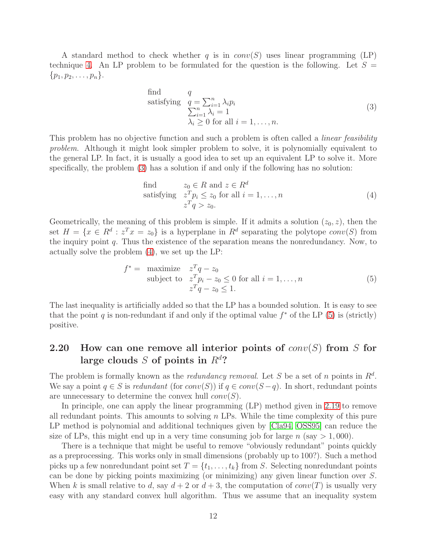A standard method to check whether q is in  $conv(S)$  uses linear programming (LP) technique [4.](#page-24-1) An LP problem to be formulated for the question is the following. Let  $S =$  $\{p_1, p_2, \ldots, p_n\}.$ 

<span id="page-11-1"></span>find 
$$
q
$$
  
satisfying  $q = \sum_{i=1}^{n} \lambda_i p_i$   
 $\sum_{i=1}^{n} \lambda_i = 1$   
 $\lambda_i \ge 0$  for all  $i = 1, ..., n$ . (3)

This problem has no objective function and such a problem is often called a *linear feasibility problem*. Although it might look simpler problem to solve, it is polynomially equivalent to the general LP. In fact, it is usually a good idea to set up an equivalent LP to solve it. More specifically, the problem [\(3\)](#page-11-1) has a solution if and only if the following has no solution:

<span id="page-11-3"></span><span id="page-11-2"></span>find 
$$
z_0 \in R
$$
 and  $z \in R^d$   
satisfying  $z^T p_i \le z_0$  for all  $i = 1, ..., n$   
 $z^T q > z_0$ . (4)

Geometrically, the meaning of this problem is simple. If it admits a solution  $(z_0, z)$ , then the set  $H = \{x \in R^d : z^T x = z_0\}$  is a hyperplane in  $R^d$  separating the polytope  $conv(S)$  from the inquiry point  $q$ . Thus the existence of the separation means the nonredundancy. Now, to actually solve the problem [\(4\)](#page-11-2), we set up the LP:

$$
f^* = \begin{array}{ll}\n\text{maximize} & z^T q - z_0 \\
\text{subject to} & z^T p_i - z_0 \le 0 \text{ for all } i = 1, \dots, n \\
& z^T q - z_0 \le 1.\n\end{array} \tag{5}
$$

The last inequality is artificially added so that the LP has a bounded solution. It is easy to see that the point q is non-redundant if and only if the optimal value  $f^*$  of the LP [\(5\)](#page-11-3) is (strictly) positive.

#### <span id="page-11-0"></span>2.20 How can one remove all interior points of  $conv(S)$  from S for large clouds S of points in  $R^d$ ?

The problem is formally known as the *redundancy removal*. Let S be a set of n points in  $R<sup>d</sup>$ . We say a point  $q \in S$  is *redundant* (for  $conv(S)$ ) if  $q \in conv(S-q)$ . In short, redundant points are unnecessary to determine the convex hull  $conv(S)$ .

In principle, one can apply the linear programming (LP) method given in [2.19](#page-10-0) to remove all redundant points. This amounts to solving  $n$  LPs. While the time complexity of this pure LP method is polynomial and additional techniques given by [\[Cla94,](#page-27-8) [OSS95\]](#page-28-6) can reduce the size of LPs, this might end up in a very time consuming job for large  $n$  (say  $> 1,000$ ).

There is a technique that might be useful to remove "obviously redundant" points quickly as a preprocessing. This works only in small dimensions (probably up to 100?). Such a method picks up a few nonredundant point set  $T = \{t_1, \ldots, t_k\}$  from S. Selecting nonredundant points can be done by picking points maximizing (or minimizing) any given linear function over S. When k is small relative to d, say  $d+2$  or  $d+3$ , the computation of  $conv(T)$  is usually very easy with any standard convex hull algorithm. Thus we assume that an inequality system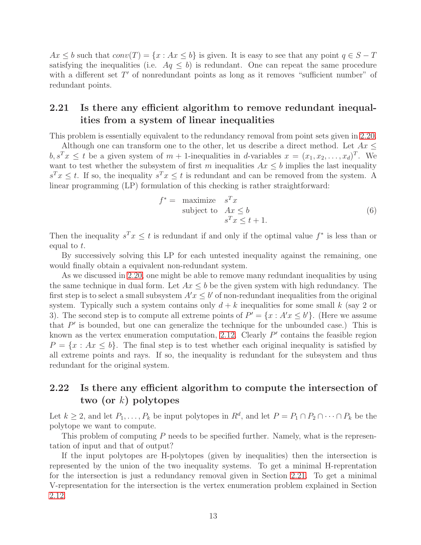$Ax \leq b$  such that  $conv(T) = \{x : Ax \leq b\}$  is given. It is easy to see that any point  $q \in S - T$ satisfying the inequalities (i.e.  $Aq \leq b$ ) is redundant. One can repeat the same procedure with a different set  $T'$  of nonredundant points as long as it removes "sufficient number" of redundant points.

### <span id="page-12-0"></span>2.21 Is there any efficient algorithm to remove redundant inequalities from a system of linear inequalities

This problem is essentially equivalent to the redundancy removal from point sets given in [2.20.](#page-11-0)

Although one can transform one to the other, let us describe a direct method. Let  $Ax \leq$  $b, s^T x \leq t$  be a given system of  $m + 1$ -inequalities in d-variables  $x = (x_1, x_2, \ldots, x_d)^T$ . We want to test whether the subsystem of first m inequalities  $Ax \leq b$  implies the last inequality  $s^T x \leq t$ . If so, the inequality  $s^T x \leq t$  is redundant and can be removed from the system. A linear programming (LP) formulation of this checking is rather straightforward:

$$
f^* = \begin{array}{ll}\n\text{maximize} & s^T x \\
\text{subject to} & Ax \leq b \\
& s^T x \leq t + 1.\n\end{array} \tag{6}
$$

Then the inequality  $s^T x \leq t$  is redundant if and only if the optimal value  $f^*$  is less than or equal to t.

By successively solving this LP for each untested inequality against the remaining, one would finally obtain a equivalent non-redundant system.

As we discussed in [2.20,](#page-11-0) one might be able to remove many redundant inequalities by using the same technique in dual form. Let  $Ax \leq b$  be the given system with high redundancy. The first step is to select a small subsystem  $A'x \leq b'$  of non-redundant inequalities from the original system. Typically such a system contains only  $d + k$  inequalities for some small k (say 2 or 3). The second step is to compute all extreme points of  $P' = \{x : A'x \le b'\}$ . (Here we assume that  $P'$  is bounded, but one can generalize the technique for the unbounded case.) This is known as the vertex enumeration computation, [2.12.](#page-6-0) Clearly  $P'$  contains the feasible region  $P = \{x : Ax \leq b\}$ . The final step is to test whether each original inequality is satisfied by all extreme points and rays. If so, the inequality is redundant for the subsystem and thus redundant for the original system.

# <span id="page-12-1"></span>2.22 Is there any efficient algorithm to compute the intersection of two (or  $k$ ) polytopes

Let  $k \geq 2$ , and let  $P_1, \ldots, P_k$  be input polytopes in  $R^d$ , and let  $P = P_1 \cap P_2 \cap \cdots \cap P_k$  be the polytope we want to compute.

This problem of computing P needs to be specified further. Namely, what is the representation of input and that of output?

If the input polytopes are H-polytopes (given by inequalities) then the intersection is represented by the union of the two inequality systems. To get a minimal H-reprentation for the intersection is just a redundancy removal given in Section [2.21.](#page-12-0) To get a minimal V-representation for the intersection is the vertex enumeration problem explained in Section [2.12.](#page-6-0)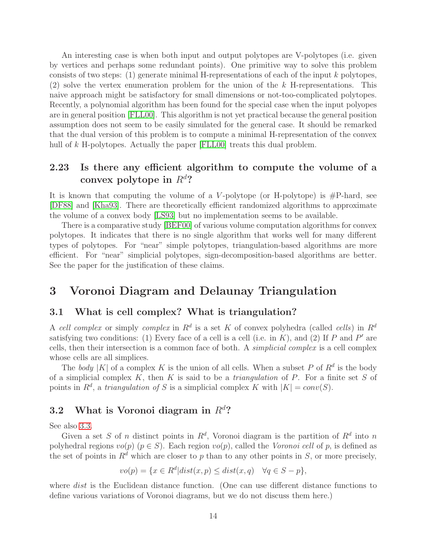An interesting case is when both input and output polytopes are V-polytopes (i.e. given by vertices and perhaps some redundant points). One primitive way to solve this problem consists of two steps: (1) generate minimal H-representations of each of the input  $k$  polytopes, (2) solve the vertex enumeration problem for the union of the  $k$  H-representations. This naive approach might be satisfactory for small dimensions or not-too-complicated polytopes. Recently, a polynomial algorithm has been found for the special case when the input polyopes are in general position [\[FLL00\]](#page-27-9). This algorithm is not yet practical because the general position assumption does not seem to be easily simulated for the general case. It should be remarked that the dual version of this problem is to compute a minimal H-representation of the convex hull of k H-polytopes. Actually the paper [\[FLL00\]](#page-27-9) treats this dual problem.

#### <span id="page-13-0"></span>2.23 Is there any efficient algorithm to compute the volume of a convex polytope in  $R^d$ ?

It is known that computing the volume of a V-polytope (or H-polytope) is  $\#P$ -hard, see [\[DF88\]](#page-27-10) and [\[Kha93\]](#page-28-7). There are theoretically efficient randomized algorithms to approximate the volume of a convex body [\[LS93\]](#page-28-8) but no implementation seems to be available.

There is a comparative study [\[BEF00\]](#page-26-7) of various volume computation algorithms for convex polytopes. It indicates that there is no single algorithm that works well for many different types of polytopes. For "near" simple polytopes, triangulation-based algorithms are more efficient. For "near" simplicial polytopes, sign-decomposition-based algorithms are better. See the paper for the justification of these claims.

# <span id="page-13-2"></span><span id="page-13-1"></span>3 Voronoi Diagram and Delaunay Triangulation

#### 3.1 What is cell complex? What is triangulation?

A cell complex or simply complex in  $R^d$  is a set K of convex polyhedra (called cells) in  $R^d$ satisfying two conditions: (1) Every face of a cell is a cell (i.e. in  $K$ ), and (2) If  $P$  and  $P'$  are cells, then their intersection is a common face of both. A *simplicial complex* is a cell complex whose cells are all simplices.

The *body* |K| of a complex K is the union of all cells. When a subset P of  $\mathbb{R}^d$  is the body of a simplicial complex K, then K is said to be a *triangulation* of P. For a finite set S of points in  $R^d$ , a *triangulation of* S is a simplicial complex K with  $|K| = conv(S)$ .

# <span id="page-13-3"></span>3.2 What is Voronoi diagram in  $R^d$ ?

See also [3.3.](#page-14-0)

Given a set S of n distinct points in  $R^d$ , Voronoi diagram is the partition of  $R^d$  into n polyhedral regions  $vo(p)$  ( $p \in S$ ). Each region  $vo(p)$ , called the *Voronoi cell* of p, is defined as the set of points in  $R^d$  which are closer to p than to any other points in S, or more precisely,

$$
vo(p) = \{x \in R^d | dist(x, p) \le dist(x, q) \quad \forall q \in S - p\},\
$$

where *dist* is the Euclidean distance function. (One can use different distance functions to define various variations of Voronoi diagrams, but we do not discuss them here.)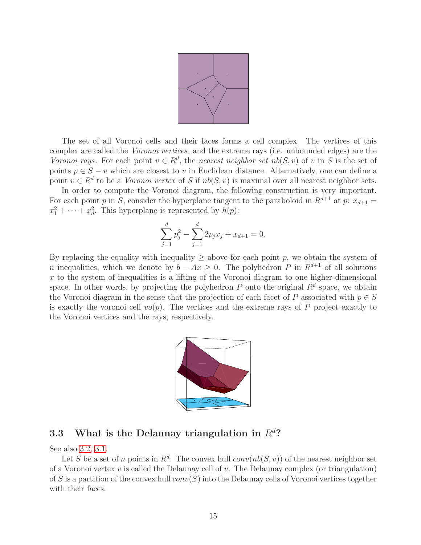

The set of all Voronoi cells and their faces forms a cell complex. The vertices of this complex are called the *Voronoi vertices*, and the extreme rays (i.e. unbounded edges) are the *Voronoi rays.* For each point  $v \in R^d$ , the *nearest neighbor set*  $nb(S, v)$  of v in S is the set of points  $p \in S - v$  which are closest to v in Euclidean distance. Alternatively, one can define a point  $v \in R^d$  to be a *Voronoi vertex* of S if  $nb(S, v)$  is maximal over all nearest neighbor sets.

In order to compute the Voronoi diagram, the following construction is very important. For each point p in S, consider the hyperplane tangent to the paraboloid in  $R^{d+1}$  at p:  $x_{d+1}$  =  $x_1^2 + \cdots + x_d^2$ . This hyperplane is represented by  $h(p)$ :

$$
\sum_{j=1}^{d} p_j^2 - \sum_{j=1}^{d} 2p_j x_j + x_{d+1} = 0.
$$

By replacing the equality with inequality  $\geq$  above for each point p, we obtain the system of n inequalities, which we denote by  $b - Ax \geq 0$ . The polyhedron P in  $R^{d+1}$  of all solutions  $x$  to the system of inequalities is a lifting of the Voronoi diagram to one higher dimensional space. In other words, by projecting the polyhedron  $P$  onto the original  $R<sup>d</sup>$  space, we obtain the Voronoi diagram in the sense that the projection of each facet of P associated with  $p \in S$ is exactly the voronoi cell  $vo(p)$ . The vertices and the extreme rays of P project exactly to the Voronoi vertices and the rays, respectively.



## <span id="page-14-0"></span>3.3 What is the Delaunay triangulation in  $R<sup>d</sup>$ ?

See also [3.2,](#page-13-3) [3.1.](#page-13-2)

Let S be a set of n points in  $R^d$ . The convex hull  $conv(nb(S, v))$  of the nearest neighbor set of a Voronoi vertex  $v$  is called the Delaunay cell of  $v$ . The Delaunay complex (or triangulation) of S is a partition of the convex hull  $conv(S)$  into the Delaunay cells of Voronoi vertices together with their faces.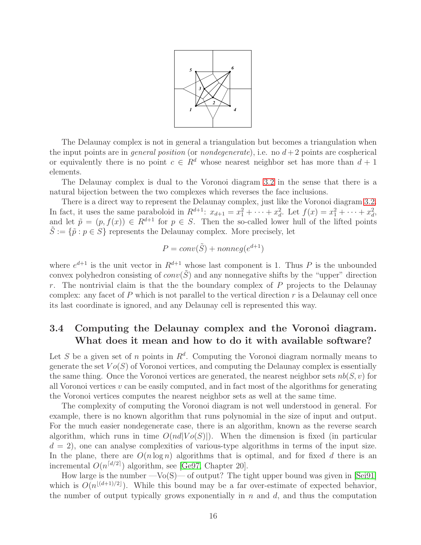

The Delaunay complex is not in general a triangulation but becomes a triangulation when the input points are in *general position* (or *nondegenerate*), i.e. no  $d+2$  points are cospherical or equivalently there is no point  $c \in \mathbb{R}^d$  whose nearest neighbor set has more than  $d+1$ elements.

The Delaunay complex is dual to the Voronoi diagram [3.2](#page-13-3) in the sense that there is a natural bijection between the two complexes which reverses the face inclusions.

There is a direct way to represent the Delaunay complex, just like the Voronoi diagram [3.2.](#page-13-3) In fact, it uses the same paraboloid in  $R^{d+1}$ :  $x_{d+1} = x_1^2 + \cdots + x_d^2$ . Let  $f(x) = x_1^2 + \cdots + x_d^2$ , and let  $\tilde{p} = (p, f(x)) \in R^{d+1}$  for  $p \in S$ . Then the so-called lower hull of the lifted points  $\tilde{S} := \{\tilde{p} : p \in S\}$  represents the Delaunay complex. More precisely, let

$$
P = conv(\tilde{S}) + nonneg(e^{d+1})
$$

where  $e^{d+1}$  is the unit vector in  $R^{d+1}$  whose last component is 1. Thus P is the unbounded convex polyhedron consisting of  $conv(\tilde{S})$  and any nonnegative shifts by the "upper" direction r. The nontrivial claim is that the the boundary complex of  $P$  projects to the Delaunay complex: any facet of  $P$  which is not parallel to the vertical direction  $r$  is a Delaunay cell once its last coordinate is ignored, and any Delaunay cell is represented this way.

#### <span id="page-15-0"></span>3.4 Computing the Delaunay complex and the Voronoi diagram. What does it mean and how to do it with available software?

Let S be a given set of n points in  $\mathbb{R}^d$ . Computing the Voronoi diagram normally means to generate the set  $Vo(S)$  of Voronoi vertices, and computing the Delaunay complex is essentially the same thing. Once the Voronoi vertices are generated, the nearest neighbor sets  $nb(S, v)$  for all Voronoi vertices  $v$  can be easily computed, and in fact most of the algorithms for generating the Voronoi vertices computes the nearest neighbor sets as well at the same time.

The complexity of computing the Voronoi diagram is not well understood in general. For example, there is no known algorithm that runs polynomial in the size of input and output. For the much easier nondegenerate case, there is an algorithm, known as the reverse search algorithm, which runs in time  $O(nd|Vo(S)|)$ . When the dimension is fixed (in particular  $d = 2$ , one can analyse complexities of various-type algorithms in terms of the input size. In the plane, there are  $O(n \log n)$  algorithms that is optimal, and for fixed d there is an incremental  $O(n^{\lceil d/2 \rceil})$  algorithm, see [\[Ge97,](#page-27-0) Chapter 20].

How large is the number  $-Vo(S)$ — of output? The tight upper bound was given in [\[Sei91\]](#page-29-4) which is  $O(n^{\lfloor (d+1)/2 \rfloor})$ . While this bound may be a far over-estimate of expected behavior, the number of output typically grows exponentially in  $n$  and  $d$ , and thus the computation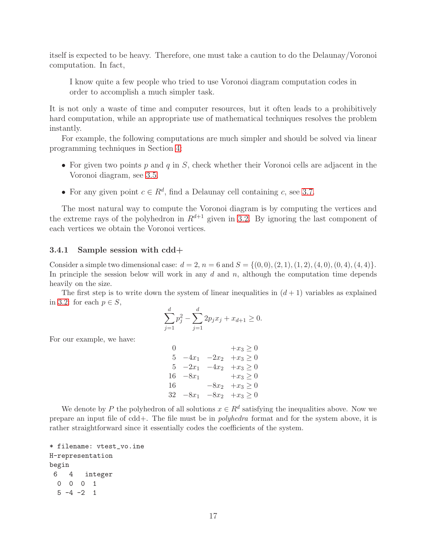itself is expected to be heavy. Therefore, one must take a caution to do the Delaunay/Voronoi computation. In fact,

I know quite a few people who tried to use Voronoi diagram computation codes in order to accomplish a much simpler task.

It is not only a waste of time and computer resources, but it often leads to a prohibitively hard computation, while an appropriate use of mathematical techniques resolves the problem instantly.

For example, the following computations are much simpler and should be solved via linear programming techniques in Section [4:](#page-24-1)

- For given two points  $p$  and  $q$  in  $S$ , check whether their Voronoi cells are adjacent in the Voronoi diagram, see [3.5.](#page-19-0)
- For any given point  $c \in \mathbb{R}^d$ , find a Delaunay cell containing c, see [3.7.](#page-22-0)

The most natural way to compute the Voronoi diagram is by computing the vertices and the extreme rays of the polyhedron in  $R^{d+1}$  given in [3.2.](#page-13-3) By ignoring the last component of each vertices we obtain the Voronoi vertices.

#### <span id="page-16-0"></span>3.4.1 Sample session with cdd+

Consider a simple two dimensional case:  $d = 2$ ,  $n = 6$  and  $S = \{(0,0), (2, 1), (1, 2), (4, 0), (0, 4), (4, 4)\}.$ In principle the session below will work in any  $d$  and  $n$ , although the computation time depends heavily on the size.

The first step is to write down the system of linear inequalities in  $(d+1)$  variables as explained in [3.2:](#page-13-3) for each  $p \in S$ ,

$$
\sum_{j=1}^{d} p_j^2 - \sum_{j=1}^{d} 2p_j x_j + x_{d+1} \ge 0.
$$

For our example, we have:

 $+x_3 \ge 0$  $-4x_1$   $-2x_2$   $+x_3 \ge 0$  $-2x_1$   $-4x_2$   $+x_3 \ge 0$  $-8x_1$  +x<sub>3</sub> ≥ 0  $-8x_2 +x_3 \ge 0$  $-8x_1$   $-8x_2$   $+x_3 \ge 0$ 

We denote by P the polyhedron of all solutions  $x \in \mathbb{R}^d$  satisfying the inequalities above. Now we prepare an input file of cdd+. The file must be in polyhedra format and for the system above, it is rather straightforward since it essentially codes the coefficients of the system.

```
* filename: vtest_vo.ine
H-representation
begin
6 4 integer
 0 0 0 1
 5 -4 -2 1
```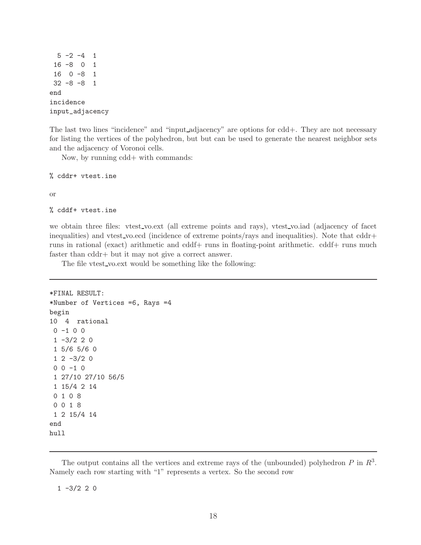$5 -2 -4 1$ 16 -8 0 1 16 0 -8 1 32 -8 -8 1 end incidence input\_adjacency

The last two lines "incidence" and "input adjacency" are options for cdd+. They are not necessary for listing the vertices of the polyhedron, but but can be used to generate the nearest neighbor sets and the adjacency of Voronoi cells.

Now, by running cdd+ with commands:

% cddr+ vtest.ine

or

```
% cddf+ vtest.ine
```
we obtain three files: vtest\_vo.ext (all extreme points and rays), vtest\_vo.iad (adjacency of facet inequalities) and vtest vo.ecd (incidence of extreme points/rays and inequalities). Note that cddr+ runs in rational (exact) arithmetic and cddf+ runs in floating-point arithmetic. cddf+ runs much faster than cddr+ but it may not give a correct answer.

The file vtest vo.ext would be something like the following:

```
*FINAL RESULT:
*Number of Vertices =6, Rays =4
begin
10 4 rational
 0 -1 0 01 -3/2 2 01 5/6 5/6 0
 1 2 -3/2 00 0 -1 01 27/10 27/10 56/5
 1 15/4 2 14
 0 1 0 8
 0 0 1 8
 1 2 15/4 14
end
hull
```
The output contains all the vertices and extreme rays of the (unbounded) polyhedron  $P$  in  $R^3$ . Namely each row starting with "1" represents a vertex. So the second row

 $1 -3/2 2 0$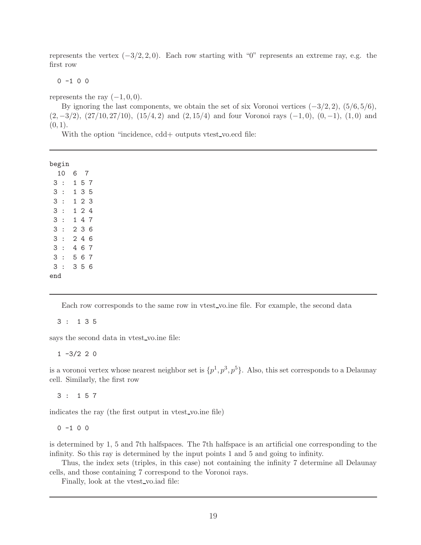represents the vertex  $(-3/2, 2, 0)$ . Each row starting with "0" represents an extreme ray, e.g. the first row

 $0 -1 0 0$ 

represents the ray  $(-1, 0, 0)$ .

By ignoring the last components, we obtain the set of six Voronoi vertices  $(-3/2, 2)$ ,  $(5/6, 5/6)$ ,  $(2, -3/2)$ ,  $(27/10, 27/10)$ ,  $(15/4, 2)$  and  $(2, 15/4)$  and four Voronoi rays  $(-1, 0)$ ,  $(0, -1)$ ,  $(1, 0)$  and  $(0, 1).$ 

With the option "incidence, cdd+ outputs vtest\_vo.ecd file:

begin

Each row corresponds to the same row in vtest vo.ine file. For example, the second data

#### 3 : 1 3 5

says the second data in vtest vo.ine file:

 $1 -3/2 2 0$ 

is a voronoi vertex whose nearest neighbor set is  $\{p^1, p^3, p^5\}$ . Also, this set corresponds to a Delaunay cell. Similarly, the first row

3 : 1 5 7

indicates the ray (the first output in vtest vo.ine file)

 $0 -1 0 0$ 

is determined by 1, 5 and 7th halfspaces. The 7th halfspace is an artificial one corresponding to the infinity. So this ray is determined by the input points 1 and 5 and going to infinity.

Thus, the index sets (triples, in this case) not containing the infinity 7 determine all Delaunay cells, and those containing 7 correspond to the Voronoi rays.

Finally, look at the vtest vo.iad file: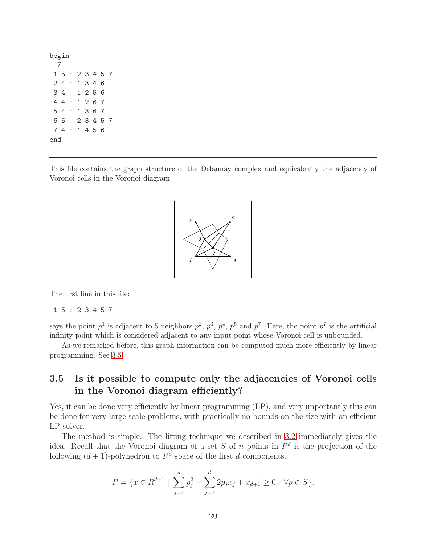This file contains the graph structure of the Delaunay complex and equivalently the adjacency of Voronoi cells in the Voronoi diagram.



The first line in this file:

#### 1 5 : 2 3 4 5 7

says the point  $p^1$  is adjacent to 5 neighbors  $p^2$ ,  $p^3$ ,  $p^4$ ,  $p^5$  and  $p^7$ . Here, the point  $p^7$  is the artificial infinity point which is considered adjacent to any input point whose Voronoi cell is unbounded.

As we remarked before, this graph information can be computed much more efficiently by linear programming. See [3.5.](#page-19-0)

#### <span id="page-19-0"></span>3.5 Is it possible to compute only the adjacencies of Voronoi cells in the Voronoi diagram efficiently?

Yes, it can be done very efficiently by linear programming (LP), and very importantly this can be done for very large scale problems, with practically no bounds on the size with an efficient LP solver.

The method is simple. The lifting technique we described in [3.2](#page-13-3) immediately gives the idea. Recall that the Voronoi diagram of a set S of n points in  $\mathbb{R}^d$  is the projection of the following  $(d+1)$ -polyhedron to  $R^d$  space of the first d components.

$$
P = \{x \in R^{d+1} \mid \sum_{j=1}^{d} p_j^2 - \sum_{j=1}^{d} 2p_j x_j + x_{d+1} \ge 0 \quad \forall p \in S\}.
$$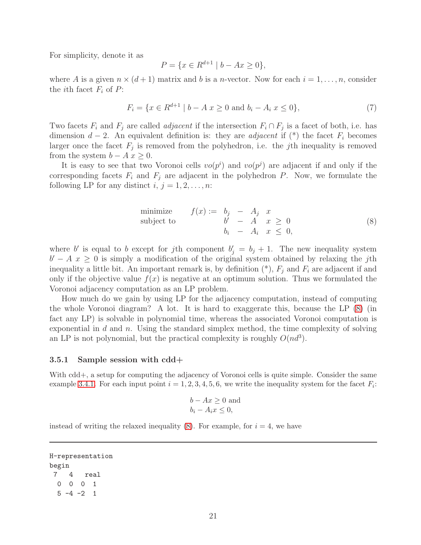For simplicity, denote it as

$$
P = \{ x \in R^{d+1} \mid b - Ax \ge 0 \},\
$$

where A is a given  $n \times (d+1)$  matrix and b is a n-vector. Now for each  $i = 1, \ldots, n$ , consider the *i*th facet  $F_i$  of  $P$ :

$$
F_i = \{ x \in R^{d+1} \mid b - A \mid x \ge 0 \text{ and } b_i - A_i \mid x \le 0 \},\tag{7}
$$

Two facets  $F_i$  and  $F_j$  are called *adjacent* if the intersection  $F_i \cap F_j$  is a facet of both, i.e. has dimension  $d-2$ . An equivalent definition is: they are *adjacent* if (\*) the facet  $F_i$  becomes larger once the facet  $F_j$  is removed from the polyhedron, i.e. the *j*th inequality is removed from the system  $b - A x \geq 0$ .

It is easy to see that two Voronoi cells  $vo(p^i)$  and  $vo(p^j)$  are adjacent if and only if the corresponding facets  $F_i$  and  $F_j$  are adjacent in the polyhedron P. Now, we formulate the following LP for any distinct  $i, j = 1, 2, \ldots, n$ :

<span id="page-20-1"></span>minimize 
$$
f(x) := b_j - A_j x
$$
  
\nsubject to  $b' - A x \ge 0$   
\n $b_i - A_i x \le 0$ , (8)

where b' is equal to b except for jth component  $b'_j = b_j + 1$ . The new inequality system  $b' - A x \geq 0$  is simply a modification of the original system obtained by relaxing the jth inequality a little bit. An important remark is, by definition  $(*), F_i$  and  $F_i$  are adjacent if and only if the objective value  $f(x)$  is negative at an optimum solution. Thus we formulated the Voronoi adjacency computation as an LP problem.

How much do we gain by using LP for the adjacency computation, instead of computing the whole Voronoi diagram? A lot. It is hard to exaggerate this, because the LP [\(8\)](#page-20-1) (in fact any LP) is solvable in polynomial time, whereas the associated Voronoi computation is exponential in  $d$  and  $n$ . Using the standard simplex method, the time complexity of solving an LP is not polynomial, but the practical complexity is roughly  $O(nd^3)$ .

#### <span id="page-20-0"></span>3.5.1 Sample session with cdd+

With cdd+, a setup for computing the adjacency of Voronoi cells is quite simple. Consider the same example [3.4.1.](#page-16-0) For each input point  $i = 1, 2, 3, 4, 5, 6$ , we write the inequality system for the facet  $F_i$ :

$$
b - Ax \ge 0
$$
 and  

$$
b_i - A_i x \le 0,
$$

instead of writing the relaxed inequality  $(8)$ . For example, for  $i = 4$ , we have

```
H-representation
begin
7 4 real
 0 0 0 1
 5 -4 -2 1
```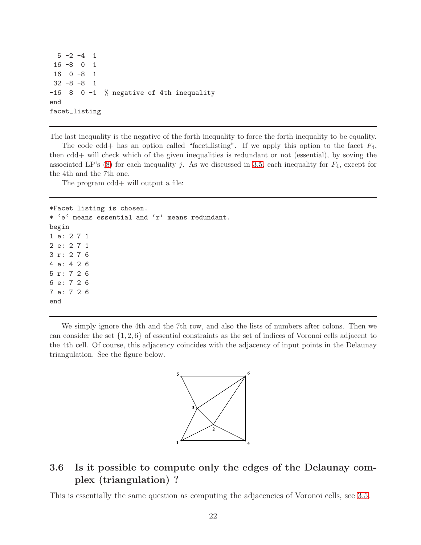```
5 -2 -4 116 -8 0 1
16 0 -8 1
32 -8 -8 1
-16 8 0 -1 % negative of 4th inequality
end
facet_listing
```
The last inequality is the negative of the forth inequality to force the forth inequality to be equality.

The code cdd+ has an option called "facet\_listing". If we apply this option to the facet  $F_4$ , then cdd+ will check which of the given inequalities is redundant or not (essential), by soving the associated LP's  $(8)$  for each inequality j. As we discussed in [3.5,](#page-19-0) each inequality for  $F_4$ , except for the 4th and the 7th one,

The program cdd+ will output a file:

\*Facet listing is chosen. \* 'e' means essential and 'r' means redundant. begin 1 e: 2 7 1 2 e: 2 7 1 3 r: 2 7 6 4 e: 4 2 6 5 r: 7 2 6 6 e: 7 2 6 7 e: 7 2 6 end

We simply ignore the 4th and the 7th row, and also the lists of numbers after colons. Then we can consider the set  $\{1, 2, 6\}$  of essential constraints as the set of indices of Voronoi cells adjacent to the 4th cell. Of course, this adjacency coincides with the adjacency of input points in the Delaunay triangulation. See the figure below.



## <span id="page-21-0"></span>3.6 Is it possible to compute only the edges of the Delaunay complex (triangulation) ?

This is essentially the same question as computing the adjacencies of Voronoi cells, see [3.5.](#page-19-0)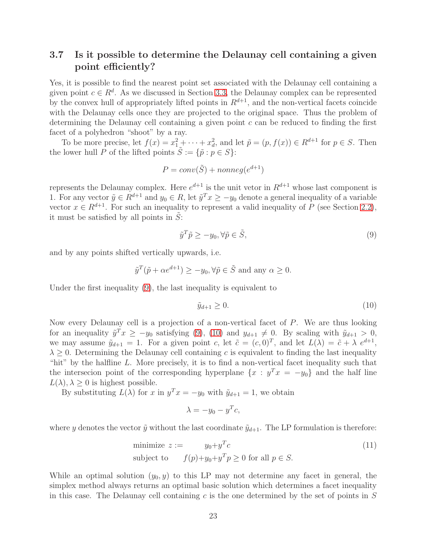## <span id="page-22-0"></span>3.7 Is it possible to determine the Delaunay cell containing a given point efficiently?

Yes, it is possible to find the nearest point set associated with the Delaunay cell containing a given point  $c \in \mathbb{R}^d$ . As we discussed in Section [3.3,](#page-14-0) the Delaunay complex can be represented by the convex hull of appropriately lifted points in  $R^{d+1}$ , and the non-vertical facets coincide with the Delaunay cells once they are projected to the original space. Thus the problem of determining the Delaunay cell containing a given point c can be reduced to finding the first facet of a polyhedron "shoot" by a ray.

To be more precise, let  $f(x) = x_1^2 + \cdots + x_d^2$ , and let  $\tilde{p} = (p, f(x)) \in R^{d+1}$  for  $p \in S$ . Then the lower hull P of the lifted points  $\tilde{S} := \{ \tilde{p} : p \in S \}$ :

$$
P = conv(\tilde{S}) + nonneg(e^{d+1})
$$

represents the Delaunay complex. Here  $e^{d+1}$  is the unit vetor in  $R^{d+1}$  whose last component is 1. For any vector  $\tilde{y} \in R^{d+1}$  and  $y_0 \in R$ , let  $\tilde{y}^T x \ge -y_0$  denote a general inequality of a variable vector  $x \in R^{d+1}$ . For such an inequality to represent a valid inequality of P (see Section [2.2\)](#page-2-2), it must be satisfied by all points in  $S$ :

<span id="page-22-1"></span>
$$
\tilde{y}^T \tilde{p} \ge -y_0, \forall \tilde{p} \in \tilde{S},\tag{9}
$$

and by any points shifted vertically upwards, i.e.

$$
\tilde{y}^T(\tilde{p} + \alpha e^{d+1}) \ge -y_0, \forall \tilde{p} \in \tilde{S}
$$
 and any  $\alpha \ge 0$ .

Under the first inequality [\(9\)](#page-22-1), the last inequality is equivalent to

<span id="page-22-2"></span>
$$
\tilde{y}_{d+1} \ge 0. \tag{10}
$$

Now every Delaunay cell is a projection of a non-vertical facet of P. We are thus looking for an inequality  $\tilde{y}^T x \geq -y_0$  satisfying [\(9\)](#page-22-1), [\(10\)](#page-22-2) and  $y_{d+1} \neq 0$ . By scaling with  $\tilde{y}_{d+1} > 0$ , we may assume  $\tilde{y}_{d+1} = 1$ . For a given point c, let  $\tilde{c} = (c, 0)^T$ , and let  $L(\lambda) = \tilde{c} + \lambda e^{d+1}$ ,  $\lambda \geq 0$ . Determining the Delaunay cell containing c is equivalent to finding the last inequality "hit" by the halfline  $L$ . More precisely, it is to find a non-vertical facet inequality such that the intersecion point of the corresponding hyperplane  $\{x : y^T x = -y_0\}$  and the half line  $L(\lambda), \lambda \geq 0$  is highest possible.

By substituting  $L(\lambda)$  for x in  $y^T x = -y_0$  with  $\tilde{y}_{d+1} = 1$ , we obtain

<span id="page-22-3"></span>
$$
\lambda = -y_0 - y^T c,
$$

where y denotes the vector  $\tilde{y}$  without the last coordinate  $\tilde{y}_{d+1}$ . The LP formulation is therefore:

minimize 
$$
z := y_0 + y^T c
$$
  
subject to  $f(p)+y_0+y^T p \ge 0$  for all  $p \in S$ . (11)

While an optimal solution  $(y_0, y)$  to this LP may not determine any facet in general, the simplex method always returns an optimal basic solution which determines a facet inequality in this case. The Delaunay cell containing  $c$  is the one determined by the set of points in  $S$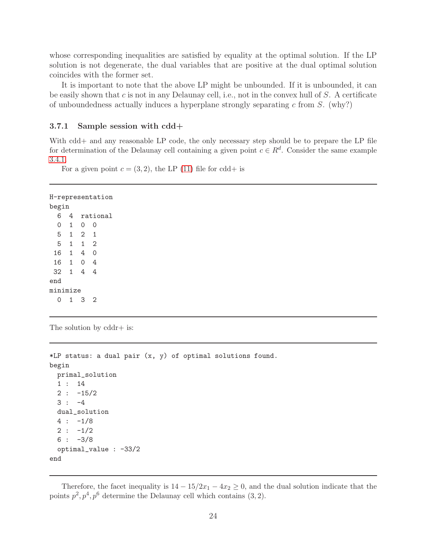whose corresponding inequalities are satisfied by equality at the optimal solution. If the LP solution is not degenerate, the dual variables that are positive at the dual optimal solution coincides with the former set.

It is important to note that the above LP might be unbounded. If it is unbounded, it can be easily shown that c is not in any Delaunay cell, i.e., not in the convex hull of  $S$ . A certificate of unboundedness actually induces a hyperplane strongly separating c from  $S$ . (why?)

#### <span id="page-23-0"></span>3.7.1 Sample session with cdd+

With cdd+ and any reasonable LP code, the only necessary step should be to prepare the LP file for determination of the Delaunay cell containing a given point  $c \in \mathbb{R}^d$ . Consider the same example [3.4.1.](#page-16-0)

For a given point  $c = (3, 2)$ , the LP [\(11\)](#page-22-3) file for cdd+ is

```
H-representation
begin
 6 4 rational
 0 1 0 0
 5 1 2 1
 5 1 1 2
16 1 4 0
16 1 0 4
32 1 4 4
end
minimize
 0 1 3 2
```
The solution by cddr+ is:

```
*LP status: a dual pair (x, y) of optimal solutions found.
begin
 primal_solution
  1 : 14
  2 : -15/23 : -4dual_solution
  4 : -1/82 : -1/26 : -3/8optimal_value : -33/2
end
```
Therefore, the facet inequality is  $14 - 15/2x_1 - 4x_2 \ge 0$ , and the dual solution indicate that the points  $p^2, p^4, p^6$  determine the Delaunay cell which contains  $(3, 2)$ .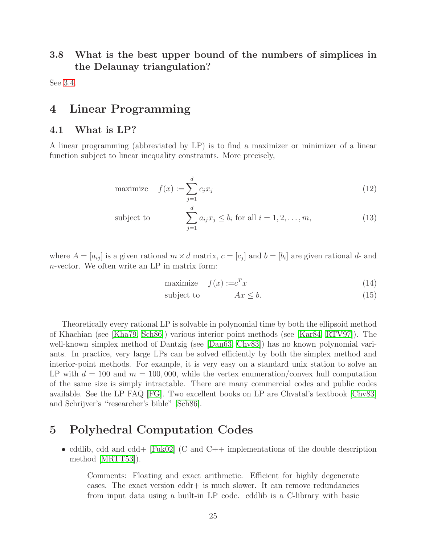## <span id="page-24-0"></span>3.8 What is the best upper bound of the numbers of simplices in the Delaunay triangulation?

<span id="page-24-1"></span>See [3.4.](#page-15-0)

# <span id="page-24-2"></span>4 Linear Programming

#### 4.1 What is LP?

A linear programming (abbreviated by LP) is to find a maximizer or minimizer of a linear function subject to linear inequality constraints. More precisely,

maximize 
$$
f(x) := \sum_{j=1}^{d} c_j x_j
$$
 (12)

subject to 
$$
\sum_{j=1}^{d} a_{ij} x_j \leq b_i \text{ for all } i = 1, 2, ..., m,
$$
 (13)

where  $A = [a_{ij}]$  is a given rational  $m \times d$  matrix,  $c = [c_j]$  and  $b = [b_i]$  are given rational d- and n-vector. We often write an LP in matrix form:

$$
\text{maximize} \quad f(x) := c^T x \tag{14}
$$

$$
subject to \t\t Ax \leq b. \t\t(15)
$$

Theoretically every rational LP is solvable in polynomial time by both the ellipsoid method of Khachian (see [\[Kha79,](#page-28-9) [Sch86\]](#page-28-10)) various interior point methods (see [\[Kar84,](#page-28-11) [RTV97\]](#page-28-12)). The well-known simplex method of Dantzig (see [\[Dan63,](#page-27-11) [Chv83\]](#page-27-12)) has no known polynomial variants. In practice, very large LPs can be solved efficiently by both the simplex method and interior-point methods. For example, it is very easy on a standard unix station to solve an LP with  $d = 100$  and  $m = 100,000$ , while the vertex enumeration/convex hull computation of the same size is simply intractable. There are many commercial codes and public codes available. See the LP FAQ [\[FG\]](#page-27-13). Two excellent books on LP are Chvatal's textbook [\[Chv83\]](#page-27-12) and Schrijver's "researcher's bible" [\[Sch86\]](#page-28-10).

# <span id="page-24-3"></span>5 Polyhedral Computation Codes

• cddlib, cdd and cdd+  $|Fuk02|$  (C and C++ implementations of the double description method [\[MRTT53\]](#page-28-13)).

Comments: Floating and exact arithmetic. Efficient for highly degenerate cases. The exact version cddr+ is much slower. It can remove redundancies from input data using a built-in LP code. cddlib is a C-library with basic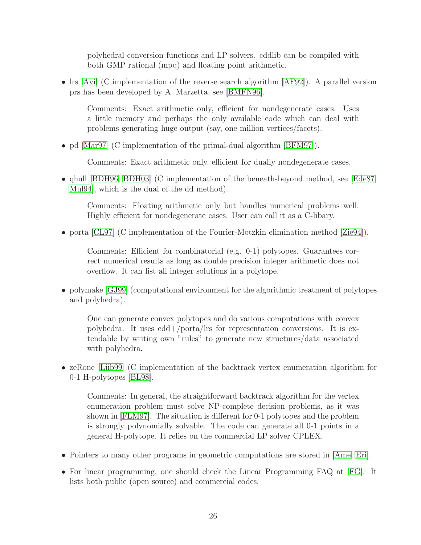polyhedral conversion functions and LP solvers. cddlib can be compiled with both GMP rational (mpq) and floating point arithmetic.

• Irs [\[Avi\]](#page-26-8) (C implementation of the reverse search algorithm [\[AF92\]](#page-26-2)). A parallel version prs has been developed by A. Marzetta, see [\[BMFN96\]](#page-26-9).

Comments: Exact arithmetic only, efficient for nondegenerate cases. Uses a little memory and perhaps the only available code which can deal with problems generating huge output (say, one million vertices/facets).

• pd [\[Mar97\]](#page-28-14) (C implementation of the primal-dual algorithm [\[BFM97\]](#page-26-10)).

Comments: Exact arithmetic only, efficient for dually nondegenerate cases.

• qhull [\[BDH96,](#page-26-11) [BDH03\]](#page-26-12) (C implementation of the beneath-beyond method, see [\[Ede87,](#page-27-15) [Mul94\]](#page-28-4), which is the dual of the dd method).

Comments: Floating arithmetic only but handles numerical problems well. Highly efficient for nondegenerate cases. User can call it as a C-libary.

• porta [\[CL97\]](#page-27-16) (C implementation of the Fourier-Motzkin elimination method [\[Zie94\]](#page-29-0)).

Comments: Efficient for combinatorial (e.g. 0-1) polytopes. Guarantees correct numerical results as long as double precision integer arithmetic does not overflow. It can list all integer solutions in a polytope.

• polymake [\[GJ99\]](#page-28-15) (computational environment for the algorithmic treatment of polytopes and polyhedra).

One can generate convex polytopes and do various computations with convex polyhedra. It uses cdd+/porta/lrs for representation conversions. It is extendable by writing own "rules" to generate new structures/data associated with polyhedra.

• zeRone [Lüb99] (C implementation of the backtrack vertex enumeration algorithm for 0-1 H-polytopes [\[BL98\]](#page-26-13).

Comments: In general, the straightforward backtrack algorithm for the vertex enumeration problem must solve NP-complete decision problems, as it was shown in [\[FLM97\]](#page-27-2). The situation is different for 0-1 polytopes and the problem is strongly polynomially solvable. The code can generate all 0-1 points in a general H-polytope. It relies on the commercial LP solver CPLEX.

- Pointers to many other programs in geometric computations are stored in [\[Ame,](#page-26-14) [Eri\]](#page-27-17).
- For linear programming, one should check the Linear Programming FAQ at [\[FG\]](#page-27-13). It lists both public (open source) and commercial codes.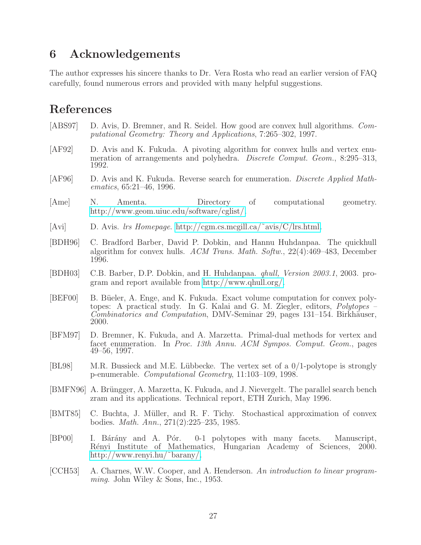# <span id="page-26-0"></span>6 Acknowledgements

The author expresses his sincere thanks to Dr. Vera Rosta who read an earlier version of FAQ carefully, found numerous errors and provided with many helpful suggestions.

# References

- <span id="page-26-4"></span>[ABS97] D. Avis, D. Bremner, and R. Seidel. How good are convex hull algorithms. *Computational Geometry: Theory and Applications*, 7:265–302, 1997.
- <span id="page-26-2"></span>[AF92] D. Avis and K. Fukuda. A pivoting algorithm for convex hulls and vertex enumeration of arrangements and polyhedra. *Discrete Comput. Geom.*, 8:295–313, 1992.
- <span id="page-26-3"></span>[AF96] D. Avis and K. Fukuda. Reverse search for enumeration. *Discrete Applied Mathematics*, 65:21–46, 1996.
- <span id="page-26-14"></span>[Ame] N. Amenta. Directory of computational geometry. [http://www.geom.uiuc.edu/software/cglist/.](http://www.geom.uiuc.edu/software/cglist/)
- <span id="page-26-8"></span>[Avi] D. Avis. *lrs Homepage*. [http://cgm.cs.mcgill.ca/˜avis/C/lrs.html.](http://cgm.cs.mcgill.ca/~{}avis/C/lrs.html)
- <span id="page-26-11"></span>[BDH96] C. Bradford Barber, David P. Dobkin, and Hannu Huhdanpaa. The quickhull algorithm for convex hulls. *ACM Trans. Math. Softw.*, 22(4):469–483, December 1996.
- <span id="page-26-12"></span>[BDH03] C.B. Barber, D.P. Dobkin, and H. Huhdanpaa. *qhull, Version 2003.1*, 2003. program and report available from [http://www.qhull.org/.](http://www.qhull.org/)
- <span id="page-26-7"></span>[BEF00] B. Büeler, A. Enge, and K. Fukuda. Exact volume computation for convex polytopes: A practical study. In G. Kalai and G. M. Ziegler, editors, *Polytopes – Combinatorics and Computation*, DMV-Seminar 29, pages 131–154. Birkhäuser, 2000.
- <span id="page-26-10"></span>[BFM97] D. Bremner, K. Fukuda, and A. Marzetta. Primal-dual methods for vertex and facet enumeration. In *Proc. 13th Annu. ACM Sympos. Comput. Geom.*, pages 49–56, 1997.
- <span id="page-26-13"></span>[BL98] M.R. Bussieck and M.E. Lübbecke. The vertex set of a  $0/1$ -polytope is strongly p-enumerable. *Computational Geometry*, 11:103–109, 1998.
- <span id="page-26-9"></span>[BMFN96] A. Brüngger, A. Marzetta, K. Fukuda, and J. Nievergelt. The parallel search bench zram and its applications. Technical report, ETH Zurich, May 1996.
- <span id="page-26-5"></span>[BMT85] C. Buchta, J. Müller, and R. F. Tichy. Stochastical approximation of convex bodies. *Math. Ann.*, 271(2):225–235, 1985.
- <span id="page-26-6"></span>[BP00] I. Bárány and A. Pór. 0-1 polytopes with many facets. Manuscript, R´enyi Institute of Mathematics, Hungarian Academy of Sciences, 2000. [http://www.renyi.hu/˜barany/.](http://www.renyi.hu/~{}barany/)
- <span id="page-26-1"></span>[CCH53] A. Charnes, W.W. Cooper, and A. Henderson. *An introduction to linear programming*. John Wiley & Sons, Inc., 1953.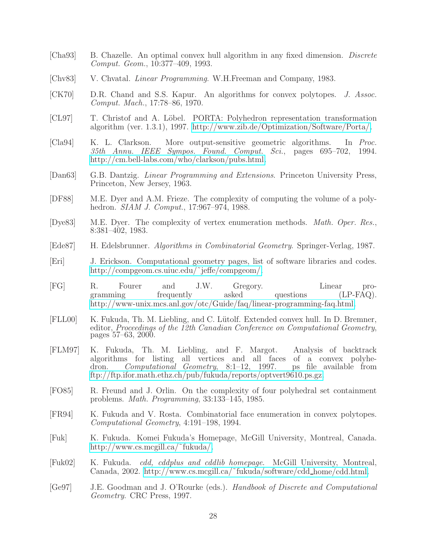- <span id="page-27-4"></span>[Cha93] B. Chazelle. An optimal convex hull algorithm in any fixed dimension. *Discrete Comput. Geom.*, 10:377–409, 1993.
- <span id="page-27-12"></span>[Chv83] V. Chvatal. *Linear Programming*. W.H.Freeman and Company, 1983.
- <span id="page-27-6"></span>[CK70] D.R. Chand and S.S. Kapur. An algorithms for convex polytopes. *J. Assoc. Comput. Mach.*, 17:78–86, 1970.
- <span id="page-27-16"></span>[CL97] T. Christof and A. Löbel. PORTA: Polyhedron representation transformation algorithm (ver. 1.3.1), 1997. [http://www.zib.de/Optimization/Software/Porta/.](http://www.zib.de/Optimization/Software/Porta/)
- <span id="page-27-8"></span>[Cla94] K. L. Clarkson. More output-sensitive geometric algorithms. In *Proc. 35th Annu. IEEE Sympos. Found. Comput. Sci.*, pages 695–702, 1994. [http://cm.bell-labs.com/who/clarkson/pubs.html.](http://cm.bell-labs.com/who/clarkson/pubs.html)
- <span id="page-27-11"></span>[Dan63] G.B. Dantzig. *Linear Programming and Extensions*. Princeton University Press, Princeton, New Jersey, 1963.
- <span id="page-27-10"></span>[DF88] M.E. Dyer and A.M. Frieze. The complexity of computing the volume of a polyhedron. *SIAM J. Comput.*, 17:967–974, 1988.
- <span id="page-27-5"></span>[Dye83] M.E. Dyer. The complexity of vertex enumeration methods. *Math. Oper. Res.*, 8:381–402, 1983.
- <span id="page-27-15"></span>[Ede87] H. Edelsbrunner. *Algorithms in Combinatorial Geometry*. Springer-Verlag, 1987.
- <span id="page-27-17"></span>[Eri] J. Erickson. Computational geometry pages, list of software libraries and codes. http://compgeom.cs.uiuc.edu/~jeffe/compgeom/.
- <span id="page-27-13"></span>[FG] R. Fourer and J.W. Gregory. Linear programming frequently asked questions (LP-FAQ). [http://www-unix.mcs.anl.gov/otc/Guide/faq/linear-programming-faq.html.](http://www-unix.mcs.anl.gov/otc/Guide/faq/linear-programming-faq.html)
- <span id="page-27-9"></span>[FLL00] K. Fukuda, Th. M. Liebling, and C. Lütolf. Extended convex hull. In D. Bremner, editor, *Proceedings of the 12th Canadian Conference on Computational Geometry*, pages 57–63, 2000.
- <span id="page-27-2"></span>[FLM97] K. Fukuda, Th. M. Liebling, and F. Margot. Analysis of backtrack algorithms for listing all vertices and all faces of a convex polyhedron. *Computational Geometry*, 8:1–12, 1997. ps file available from [ftp://ftp.ifor.math.ethz.ch/pub/fukuda/reports/optvert9610.ps.gz.](ftp://ftp.ifor.math.ethz.ch/pub/fukuda/reports/optvert9610.ps.gz)
- <span id="page-27-7"></span>[FO85] R. Freund and J. Orlin. On the complexity of four polyhedral set containment problems. *Math. Programming*, 33:133–145, 1985.
- <span id="page-27-3"></span>[FR94] K. Fukuda and V. Rosta. Combinatorial face enumeration in convex polytopes. *Computational Geometry*, 4:191–198, 1994.
- <span id="page-27-1"></span>[Fuk] K. Fukuda. Komei Fukuda's Homepage, McGill University, Montreal, Canada. [http://www.cs.mcgill.ca/˜fukuda/.](http://www.cs.mcgill.ca/~{}fukuda/)
- <span id="page-27-14"></span>[Fuk02] K. Fukuda. *cdd, cddplus and cddlib homepage*. McGill University, Montreal, Canada, 2002. [http://www.cs.mcgill.ca/˜fukuda/software/cdd](http://www.www.cs.mcgill.ca/~{}fukuda/software/cdd_home/cdd.html) home/cdd.html.
- <span id="page-27-0"></span>[Ge97] J.E. Goodman and J. O'Rourke (eds.). *Handbook of Discrete and Computational Geometry*. CRC Press, 1997.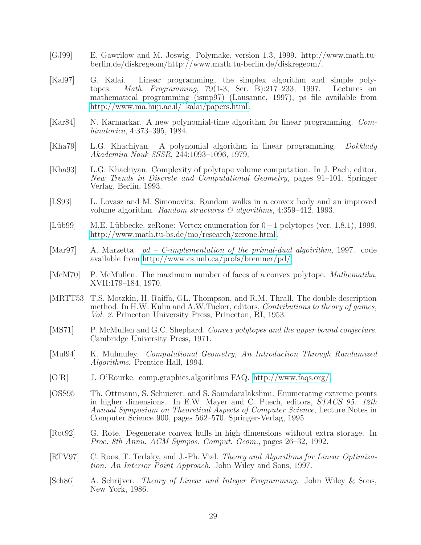- <span id="page-28-15"></span>[GJ99] E. Gawrilow and M. Joswig. Polymake, version 1.3, 1999. http://www.math.tuberlin.de/diskregeom/http://www.math.tu-berlin.de/diskregeom/.
- <span id="page-28-3"></span>[Kal97] G. Kalai. Linear programming, the simplex algorithm and simple polytopes. *Math. Programming*, 79(1-3, Ser. B):217–233, 1997. Lectures on mathematical programming (ismp97) (Lausanne, 1997), ps file available from [http://www.ma.huji.ac.il/˜kalai/papers.html.](http://www.ma.huji.ac.il/~{}kalai/papers.html)
- <span id="page-28-11"></span>[Kar84] N. Karmarkar. A new polynomial-time algorithm for linear programming. *Combinatorica*, 4:373–395, 1984.
- <span id="page-28-9"></span>[Kha79] L.G. Khachiyan. A polynomial algorithm in linear programming. *Dokklady Akademiia Nauk SSSR*, 244:1093–1096, 1979.
- <span id="page-28-7"></span>[Kha93] L.G. Khachiyan. Complexity of polytope volume computation. In J. Pach, editor, *New Trends in Discrete and Computational Geometry*, pages 91–101. Springer Verlag, Berlin, 1993.
- <span id="page-28-8"></span>[LS93] L. Lovasz and M. Simonovits. Random walks in a convex body and an improved volume algorithm. *Random structures & algorithms*, 4:359–412, 1993.
- <span id="page-28-16"></span>[L¨ub99] M.E. L¨ubbecke. zeRone: Vertex enumeration for 0−1 polytopes (ver. 1.8.1), 1999. [http://www.math.tu-bs.de/mo/research/zerone.html.](http://www.math.tu-bs.de/mo/research/zerone.html)
- <span id="page-28-14"></span>[Mar97] A. Marzetta. *pd – C-implementation of the primal-dual algoirithm*, 1997. code available from [http://www.cs.unb.ca/profs/bremner/pd/.](http://www.cs.unb.ca/profs/bremner/pd/)
- <span id="page-28-1"></span>[McM70] P. McMullen. The maximum number of faces of a convex polytope. *Mathematika*, XVII:179–184, 1970.
- <span id="page-28-13"></span>[MRTT53] T.S. Motzkin, H. Raiffa, GL. Thompson, and R.M. Thrall. The double description method. In H.W. Kuhn and A.W.Tucker, editors, *Contributions to theory of games, Vol. 2*. Princeton University Press, Princeton, RI, 1953.
- <span id="page-28-2"></span>[MS71] P. McMullen and G.C. Shephard. *Convex polytopes and the upper bound conjecture*. Cambridge University Press, 1971.
- <span id="page-28-4"></span>[Mul94] K. Mulmuley. *Computational Geometry, An Introduction Through Randamized Algorithms*. Prentice-Hall, 1994.
- <span id="page-28-0"></span>[O'R] J. O'Rourke. comp.graphics.algorithms FAQ. [http://www.faqs.org/.](http://www.faqs.org/)
- <span id="page-28-6"></span>[OSS95] Th. Ottmann, S. Schuierer, and S. Soundaralakshmi. Enumerating extreme points in higher dimensions. In E.W. Mayer and C. Puech, editors, *STACS 95: 12th Annual Symposium on Theoretical Aspects of Computer Science*, Lecture Notes in Computer Science 900, pages 562–570. Springer-Verlag, 1995.
- <span id="page-28-5"></span>[Rot92] G. Rote. Degenerate convex hulls in high dimensions without extra storage. In *Proc. 8th Annu. ACM Sympos. Comput. Geom.*, pages 26–32, 1992.
- <span id="page-28-12"></span>[RTV97] C. Roos, T. Terlaky, and J.-Ph. Vial. *Theory and Algorithms for Linear Optimization: An Interior Point Approach*. John Wiley and Sons, 1997.
- <span id="page-28-10"></span>[Sch86] A. Schrijver. *Theory of Linear and Integer Programming*. John Wiley & Sons, New York, 1986.